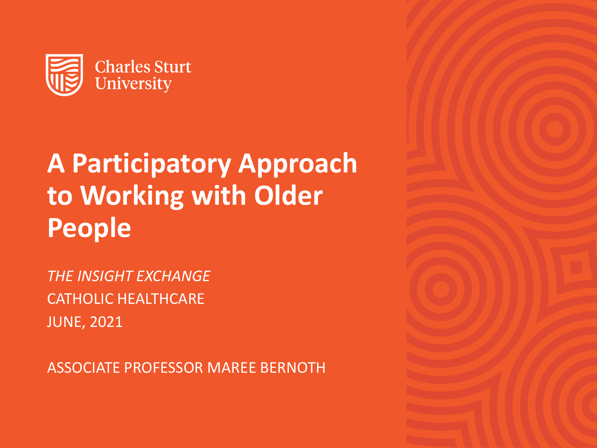

# **A Participatory Approach to Working with Older People**

*THE INSIGHT EXCHANGE* CATHOLIC HEALTHCARE JUNE, 2021

ASSOCIATE PROFESSOR MAREE BERNOTH

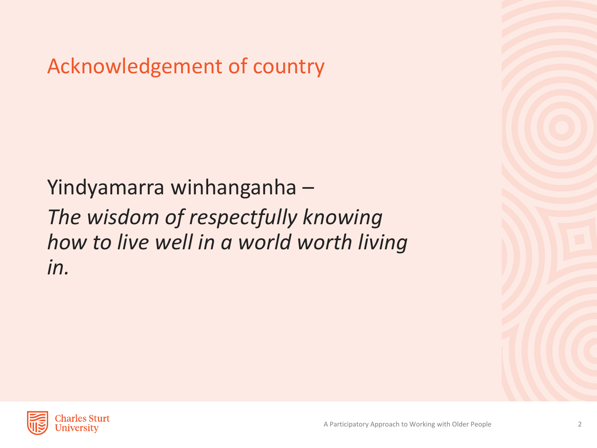Acknowledgement of country

Yindyamarra winhanganha – *The wisdom of respectfully knowing how to live well in a world worth living in.* 

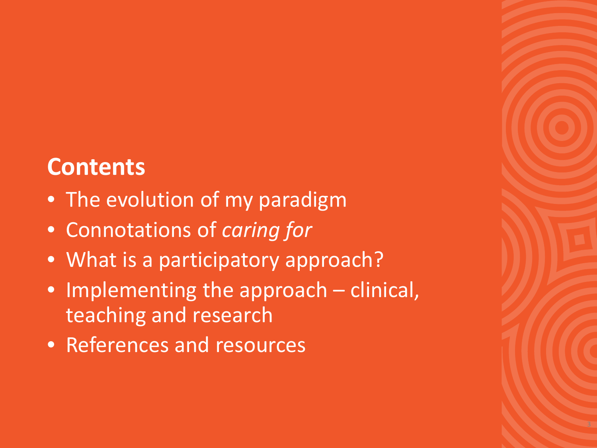## **Contents**

- The evolution of my paradigm
- Connotations of *caring for*
- What is a participatory approach?
- Implementing the approach clinical, teaching and research
- References and resources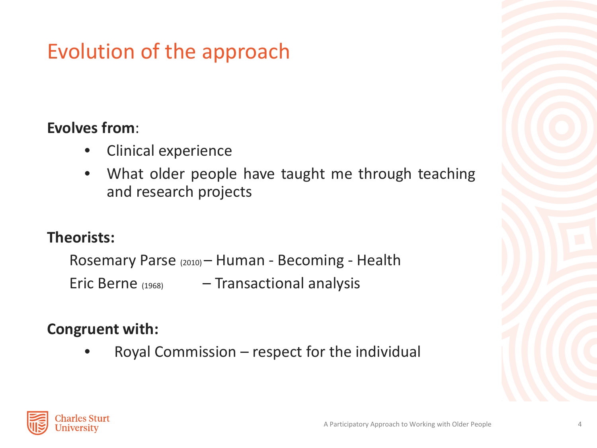## Evolution of the approach

#### **Evolves from**:

- Clinical experience
- What older people have taught me through teaching and research projects

### **Theorists:**

Rosemary Parse (2010) – Human - Becoming - Health Eric Berne (1968) – Transactional analysis

### **Congruent with:**

• Royal Commission – respect for the individual



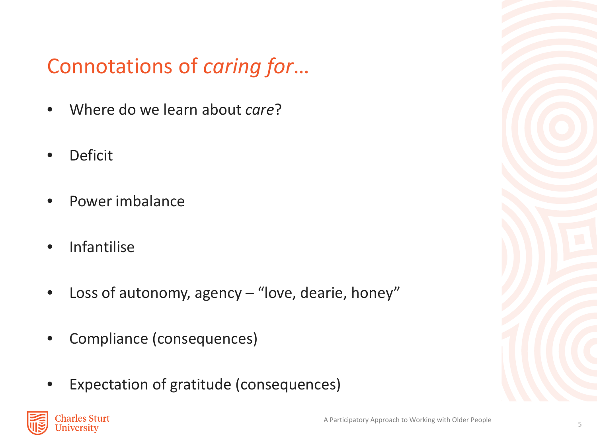## Connotations of *caring for*…

- Where do we learn about *care*?
- **Deficit**
- Power imbalance
- Infantilise
- Loss of autonomy, agency "love, dearie, honey"
- Compliance (consequences)
- Expectation of gratitude (consequences)

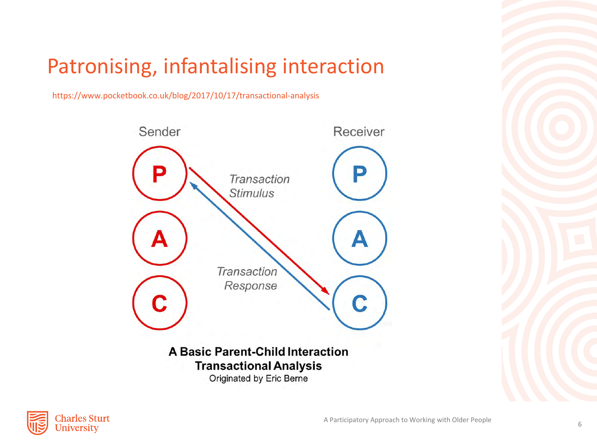### Patronising, infantalising interaction

https://www.pocketbook.co.uk/blog/2017/10/17/transactional-analysis



Originated by Eric Berne

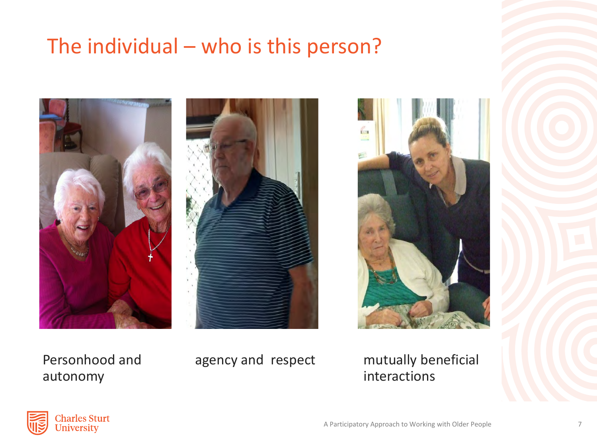### The individual – who is this person?







Personhood and autonomy

agency and respect mutually beneficial interactions

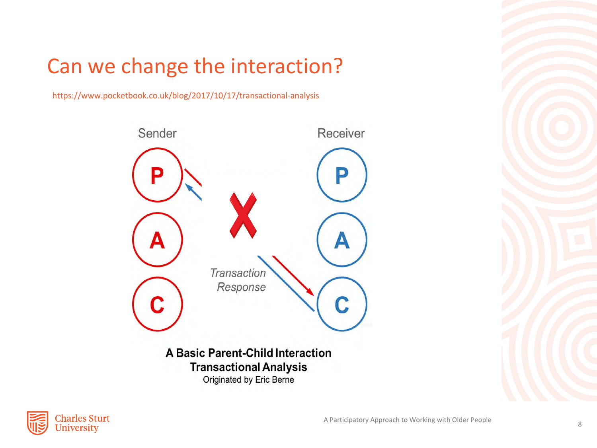## Can we change the interaction?

https://www.pocketbook.co.uk/blog/2017/10/17/transactional-analysis



Originated by Eric Berne

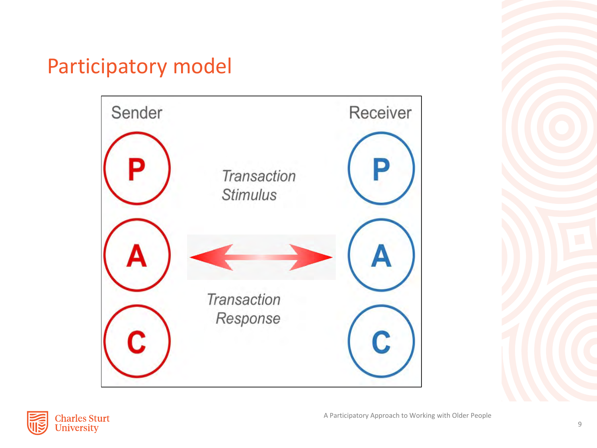### Participatory model



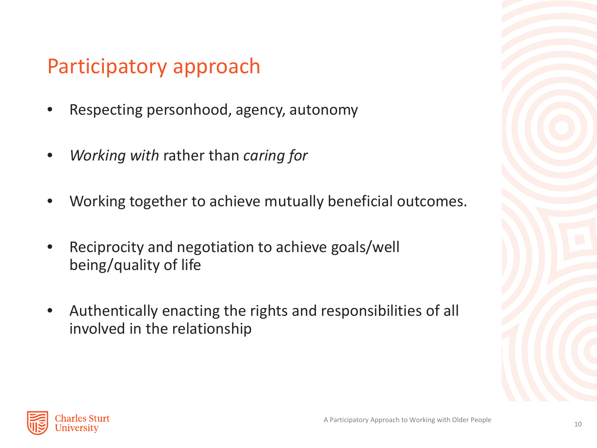### Participatory approach

- Respecting personhood, agency, autonomy
- *Working with* rather than *caring for*
- Working together to achieve mutually beneficial outcomes.
- Reciprocity and negotiation to achieve goals/well being/quality of life
- Authentically enacting the rights and responsibilities of all involved in the relationship

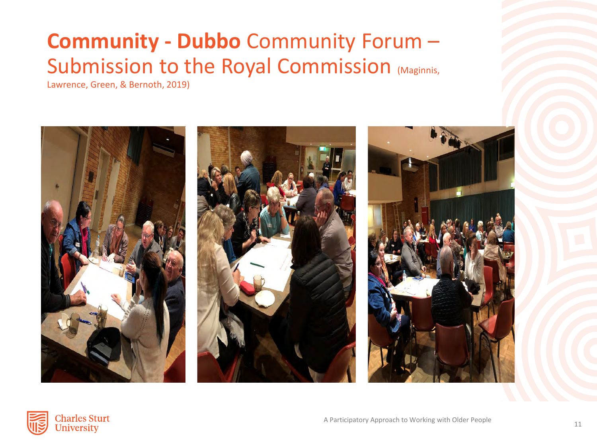### **Community - Dubbo** Community Forum – Submission to the Royal Commission (Maginnis,

Lawrence, Green, & Bernoth, 2019)



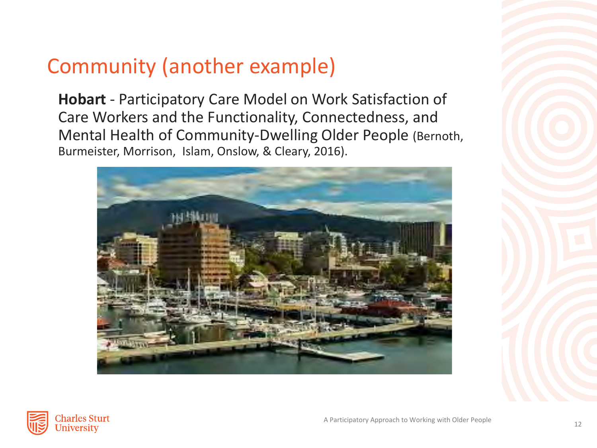### Community (another example)

**Hobart** - Participatory Care Model on Work Satisfaction of Care Workers and the Functionality, Connectedness, and Mental Health of Community-Dwelling Older People (Bernoth, Burmeister, Morrison, Islam, Onslow, & Cleary, 2016).



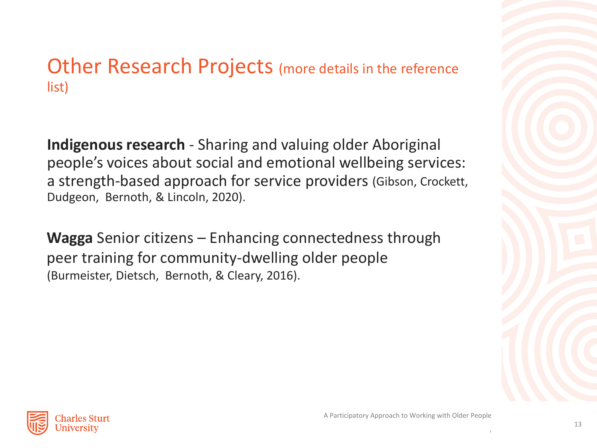### Other Research Projects (more details in the reference list)

**Indigenous research** - Sharing and valuing older Aboriginal people's voices about social and emotional wellbeing services: a strength-based approach for service providers (Gibson, Crockett, Dudgeon, Bernoth, & Lincoln, 2020).

**Wagga** Senior citizens – Enhancing connectedness through peer training for community-dwelling older people (Burmeister, Dietsch, Bernoth, & Cleary, 2016).



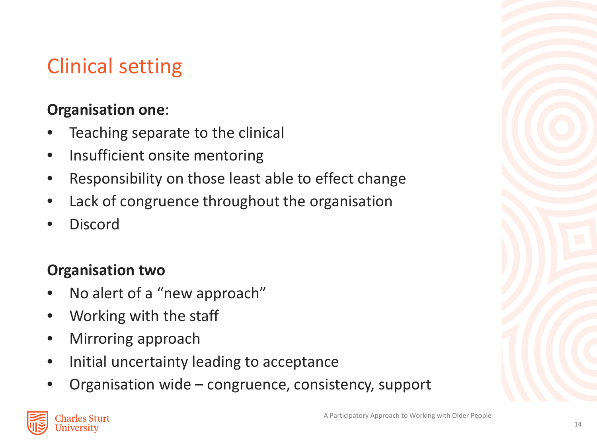## Clinical setting

### **Organisation one**:

- Teaching separate to the clinical
- Insufficient onsite mentoring
- Responsibility on those least able to effect change
- Lack of congruence throughout the organisation
- **Discord**

### **Organisation two**

- No alert of a "new approach"
- Working with the staff
- Mirroring approach
- Initial uncertainty leading to acceptance
- Organisation wide congruence, consistency, support

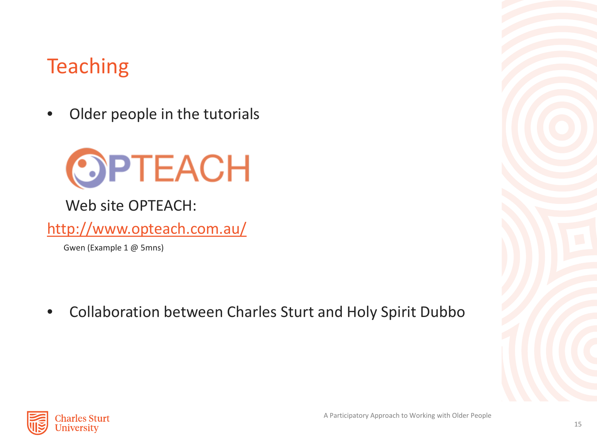### **Teaching**

Older people in the tutorials



Web site OPTEACH:

<http://www.opteach.com.au/>

Gwen (Example 1 @ 5mns)

• Collaboration between Charles Sturt and Holy Spirit Dubbo

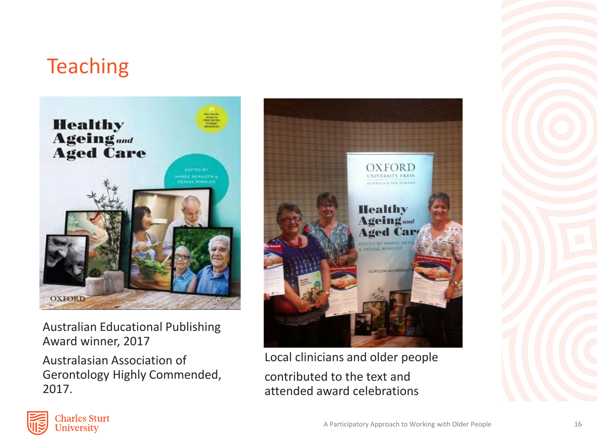### **Teaching**



Australian Educational Publishing Award winner, 2017

Australasian Association of Gerontology Highly Commended, 2017.



Local clinicians and older people contributed to the text and attended award celebrations

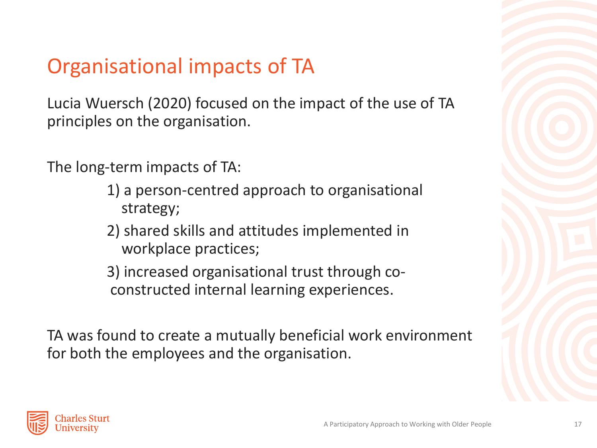## Organisational impacts of TA

Lucia Wuersch (2020) focused on the impact of the use of TA principles on the organisation.

The long-term impacts of TA:

- 1) a person-centred approach to organisational strategy;
- 2) shared skills and attitudes implemented in workplace practices;

3) increased organisational trust through coconstructed internal learning experiences.

TA was found to create a mutually beneficial work environment for both the employees and the organisation.

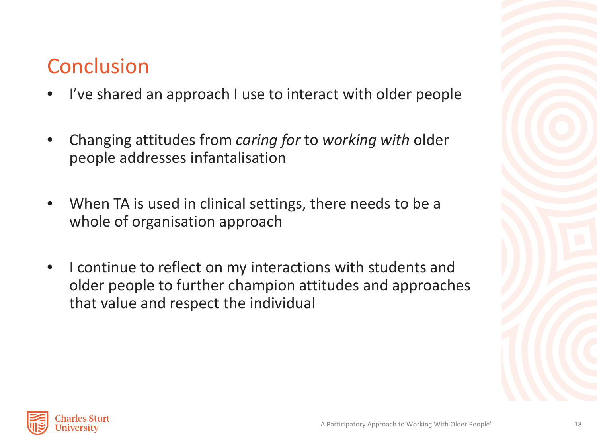### **Conclusion**

- I've shared an approach I use to interact with older people
- Changing attitudes from *caring for* to *working with* older people addresses infantalisation
- When TA is used in clinical settings, there needs to be a whole of organisation approach
- I continue to reflect on my interactions with students and older people to further champion attitudes and approaches that value and respect the individual

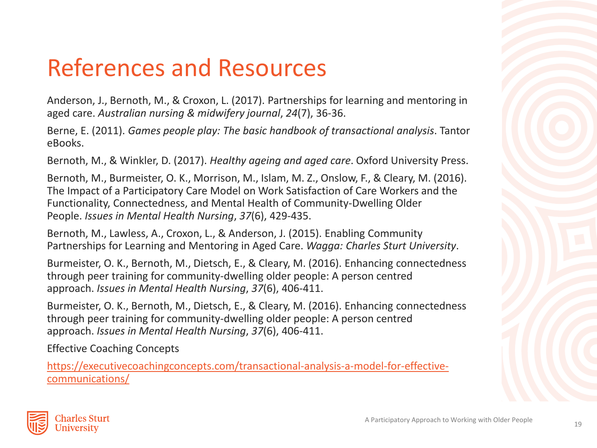# References and Resources

Anderson, J., Bernoth, M., & Croxon, L. (2017). Partnerships for learning and mentoring in aged care. *Australian nursing & midwifery journal*, *24*(7), 36-36.

Berne, E. (2011). *Games people play: The basic handbook of transactional analysis*. Tantor eBooks.

Bernoth, M., & Winkler, D. (2017). *Healthy ageing and aged care*. Oxford University Press.

Bernoth, M., Burmeister, O. K., Morrison, M., Islam, M. Z., Onslow, F., & Cleary, M. (2016). The Impact of a Participatory Care Model on Work Satisfaction of Care Workers and the Functionality, Connectedness, and Mental Health of Community-Dwelling Older People. *Issues in Mental Health Nursing*, *37*(6), 429-435.

Bernoth, M., Lawless, A., Croxon, L., & Anderson, J. (2015). Enabling Community Partnerships for Learning and Mentoring in Aged Care. *Wagga: Charles Sturt University*.

Burmeister, O. K., Bernoth, M., Dietsch, E., & Cleary, M. (2016). Enhancing connectedness through peer training for community-dwelling older people: A person centred approach. *Issues in Mental Health Nursing*, *37*(6), 406-411.

Burmeister, O. K., Bernoth, M., Dietsch, E., & Cleary, M. (2016). Enhancing connectedness through peer training for community-dwelling older people: A person centred approach. *Issues in Mental Health Nursing*, *37*(6), 406-411.

Effective Coaching Concepts

[https://executivecoachingconcepts.com/transactional-analysis-a-model-for-effective](https://executivecoachingconcepts.com/transactional-analysis-a-model-for-effective-communications/)communications/

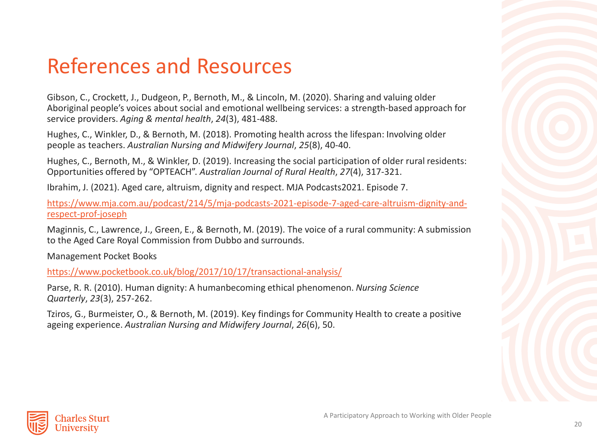### References and Resources

Gibson, C., Crockett, J., Dudgeon, P., Bernoth, M., & Lincoln, M. (2020). Sharing and valuing older Aboriginal people's voices about social and emotional wellbeing services: a strength-based approach for service providers. *Aging & mental health*, *24*(3), 481-488.

Hughes, C., Winkler, D., & Bernoth, M. (2018). Promoting health across the lifespan: Involving older people as teachers. *Australian Nursing and Midwifery Journal*, *25*(8), 40-40.

Hughes, C., Bernoth, M., & Winkler, D. (2019). Increasing the social participation of older rural residents: Opportunities offered by "OPTEACH". *Australian Journal of Rural Health*, *27*(4), 317-321.

Ibrahim, J. (2021). Aged care, altruism, dignity and respect. MJA Podcasts2021. Episode 7.

[https://www.mja.com.au/podcast/214/5/mja-podcasts-2021-episode-7-aged-care-altruism-dignity-and](https://www.mja.com.au/podcast/214/5/mja-podcasts-2021-episode-7-aged-care-altruism-dignity-and-respect-prof-joseph)respect-prof-joseph

Maginnis, C., Lawrence, J., Green, E., & Bernoth, M. (2019). The voice of a rural community: A submission to the Aged Care Royal Commission from Dubbo and surrounds.

Management Pocket Books

<https://www.pocketbook.co.uk/blog/2017/10/17/transactional-analysis/>

Parse, R. R. (2010). Human dignity: A humanbecoming ethical phenomenon. *Nursing Science Quarterly*, *23*(3), 257-262.

Tziros, G., Burmeister, O., & Bernoth, M. (2019). Key findings for Community Health to create a positive ageing experience. *Australian Nursing and Midwifery Journal*, *26*(6), 50.